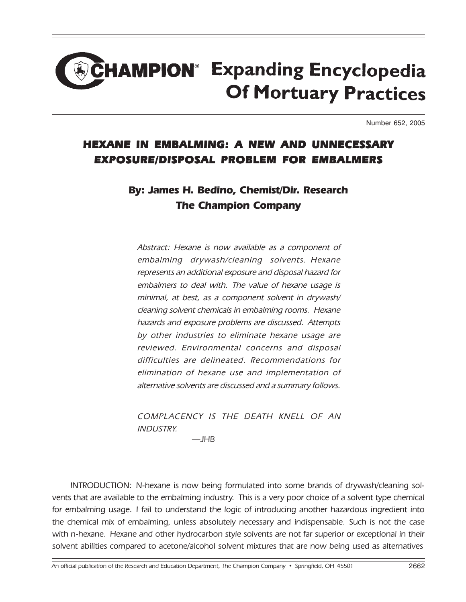## **HAMPION**<sup>®</sup> Expanding Encyclopedia **Of Mortuary Practices**

Number 652, 2005

## HEXANE IN EMBALMING: A NEW AND UNNECESSARY EXPOSURE/DISPOSAL PROBLEM FOR EMBALMERS

## By: James H. Bedino, Chemist/Dir. Research The Champion Company

Abstract: Hexane is now available as a component of embalming drywash/cleaning solvents. Hexane represents an additional exposure and disposal hazard for embalmers to deal with. The value of hexane usage is minimal, at best, as a component solvent in drywash/ cleaning solvent chemicals in embalming rooms. Hexane hazards and exposure problems are discussed. Attempts by other industries to eliminate hexane usage are reviewed. Environmental concerns and disposal difficulties are delineated. Recommendations for elimination of hexane use and implementation of alternative solvents are discussed and a summary follows.

COMPLACENCY IS THE DEATH KNELL OF AN INDUSTRY.  $\overline{\phantom{a}}$ JHB

INTRODUCTION: N-hexane is now being formulated into some brands of drywash/cleaning solvents that are available to the embalming industry. This is a very poor choice of a solvent type chemical for embalming usage. I fail to understand the logic of introducing another hazardous ingredient into the chemical mix of embalming, unless absolutely necessary and indispensable. Such is not the case with n-hexane. Hexane and other hydrocarbon style solvents are not far superior or exceptional in their solvent abilities compared to acetone/alcohol solvent mixtures that are now being used as alternatives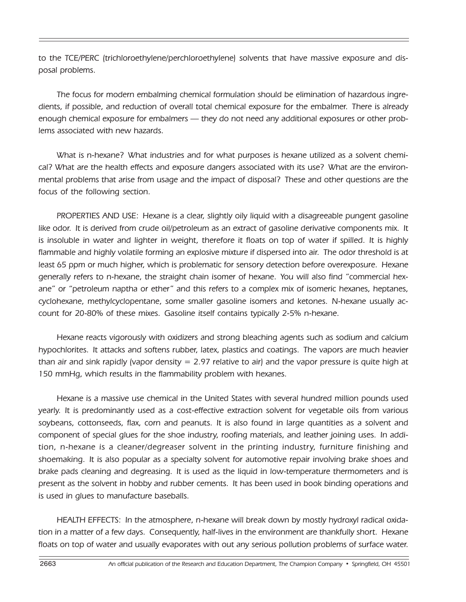to the TCE/PERC (trichloroethylene/perchloroethylene) solvents that have massive exposure and disposal problems.

The focus for modern embalming chemical formulation should be elimination of hazardous ingredients, if possible, and reduction of overall total chemical exposure for the embalmer. There is already enough chemical exposure for embalmers — they do not need any additional exposures or other problems associated with new hazards.

What is n-hexane? What industries and for what purposes is hexane utilized as a solvent chemical? What are the health effects and exposure dangers associated with its use? What are the environmental problems that arise from usage and the impact of disposal? These and other questions are the focus of the following section.

PROPERTIES AND USE: Hexane is a clear, slightly oily liquid with a disagreeable pungent gasoline like odor. It is derived from crude oil/petroleum as an extract of gasoline derivative components mix. It is insoluble in water and lighter in weight, therefore it floats on top of water if spilled. It is highly flammable and highly volatile forming an explosive mixture if dispersed into air. The odor threshold is at least 65 ppm or much higher, which is problematic for sensory detection before overexposure. Hexane generally refers to n-hexane, the straight chain isomer of hexane. You will also find "commercial hexane" or "petroleum naptha or ether" and this refers to a complex mix of isomeric hexanes, heptanes, cyclohexane, methylcyclopentane, some smaller gasoline isomers and ketones. N-hexane usually account for 20-80% of these mixes. Gasoline itself contains typically 2-5% n-hexane.

Hexane reacts vigorously with oxidizers and strong bleaching agents such as sodium and calcium hypochlorites. It attacks and softens rubber, latex, plastics and coatings. The vapors are much heavier than air and sink rapidly (vapor density  $= 2.97$  relative to air) and the vapor pressure is quite high at 150 mmHg, which results in the flammability problem with hexanes.

Hexane is a massive use chemical in the United States with several hundred million pounds used yearly. It is predominantly used as a cost-effective extraction solvent for vegetable oils from various soybeans, cottonseeds, flax, corn and peanuts. It is also found in large quantities as a solvent and component of special glues for the shoe industry, roofing materials, and leather joining uses. In addition, n-hexane is a cleaner/degreaser solvent in the printing industry, furniture finishing and shoemaking. It is also popular as a specialty solvent for automotive repair involving brake shoes and brake pads cleaning and degreasing. It is used as the liquid in low-temperature thermometers and is present as the solvent in hobby and rubber cements. It has been used in book binding operations and is used in glues to manufacture baseballs.

HEALTH EFFECTS: In the atmosphere, n-hexane will break down by mostly hydroxyl radical oxidation in a matter of a few days. Consequently, half-lives in the environment are thankfully short. Hexane floats on top of water and usually evaporates with out any serious pollution problems of surface water.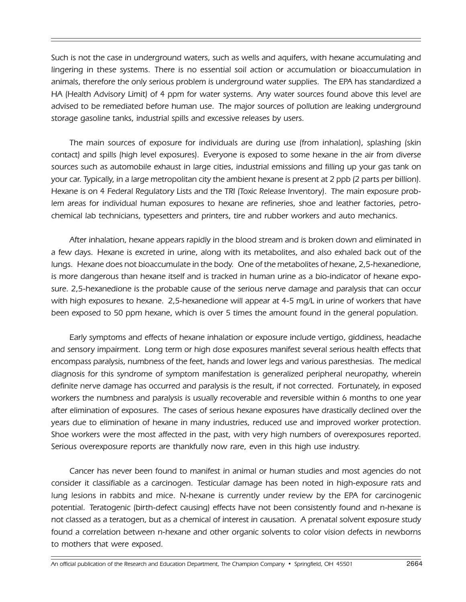Such is not the case in underground waters, such as wells and aquifers, with hexane accumulating and lingering in these systems. There is no essential soil action or accumulation or bioaccumulation in animals, therefore the only serious problem is underground water supplies. The EPA has standardized a HA (Health Advisory Limit) of 4 ppm for water systems. Any water sources found above this level are advised to be remediated before human use. The major sources of pollution are leaking underground storage gasoline tanks, industrial spills and excessive releases by users.

The main sources of exposure for individuals are during use (from inhalation), splashing (skin contact) and spills (high level exposures). Everyone is exposed to some hexane in the air from diverse sources such as automobile exhaust in large cities, industrial emissions and filling up your gas tank on your car. Typically, in a large metropolitan city the ambient hexane is present at 2 ppb (2 parts per billion). Hexane is on 4 Federal Regulatory Lists and the TRI (Toxic Release Inventory). The main exposure problem areas for individual human exposures to hexane are refineries, shoe and leather factories, petrochemical lab technicians, typesetters and printers, tire and rubber workers and auto mechanics.

After inhalation, hexane appears rapidly in the blood stream and is broken down and eliminated in a few days. Hexane is excreted in urine, along with its metabolites, and also exhaled back out of the lungs. Hexane does not bioaccumulate in the body. One of the metabolites of hexane, 2,5-hexanedione, is more dangerous than hexane itself and is tracked in human urine as a bio-indicator of hexane exposure. 2,5-hexanedione is the probable cause of the serious nerve damage and paralysis that can occur with high exposures to hexane. 2,5-hexanedione will appear at 4-5 mg/L in urine of workers that have been exposed to 50 ppm hexane, which is over 5 times the amount found in the general population.

Early symptoms and effects of hexane inhalation or exposure include vertigo, giddiness, headache and sensory impairment. Long term or high dose exposures manifest several serious health effects that encompass paralysis, numbness of the feet, hands and lower legs and various paresthesias. The medical diagnosis for this syndrome of symptom manifestation is generalized peripheral neuropathy, wherein definite nerve damage has occurred and paralysis is the result, if not corrected. Fortunately, in exposed workers the numbness and paralysis is usually recoverable and reversible within 6 months to one year after elimination of exposures. The cases of serious hexane exposures have drastically declined over the years due to elimination of hexane in many industries, reduced use and improved worker protection. Shoe workers were the most affected in the past, with very high numbers of overexposures reported. Serious overexposure reports are thankfully now rare, even in this high use industry.

Cancer has never been found to manifest in animal or human studies and most agencies do not consider it classifiable as a carcinogen. Testicular damage has been noted in high-exposure rats and lung lesions in rabbits and mice. N-hexane is currently under review by the EPA for carcinogenic potential. Teratogenic (birth-defect causing) effects have not been consistently found and n-hexane is not classed as a teratogen, but as a chemical of interest in causation. A prenatal solvent exposure study found a correlation between n-hexane and other organic solvents to color vision defects in newborns to mothers that were exposed.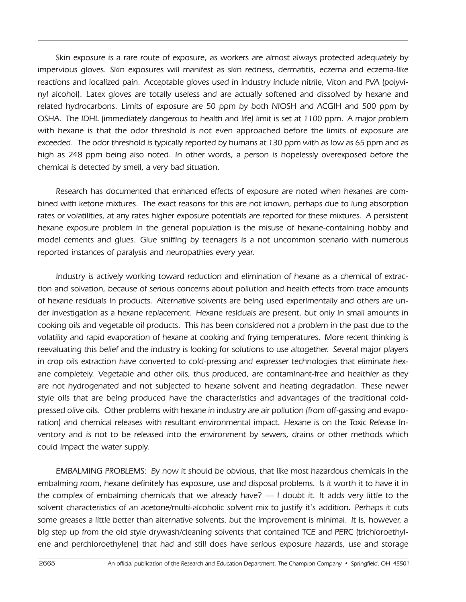Skin exposure is a rare route of exposure, as workers are almost always protected adequately by impervious gloves. Skin exposures will manifest as skin redness, dermatitis, eczema and eczema-like reactions and localized pain. Acceptable gloves used in industry include nitrile, Viton and PVA (polyvinyl alcohol). Latex gloves are totally useless and are actually softened and dissolved by hexane and related hydrocarbons. Limits of exposure are 50 ppm by both NIOSH and ACGIH and 500 ppm by OSHA. The IDHL (immediately dangerous to health and life) limit is set at 1100 ppm. A major problem with hexane is that the odor threshold is not even approached before the limits of exposure are exceeded. The odor threshold is typically reported by humans at 130 ppm with as low as 65 ppm and as high as 248 ppm being also noted. In other words, a person is hopelessly overexposed before the chemical is detected by smell, a very bad situation.

Research has documented that enhanced effects of exposure are noted when hexanes are combined with ketone mixtures. The exact reasons for this are not known, perhaps due to lung absorption rates or volatilities, at any rates higher exposure potentials are reported for these mixtures. A persistent hexane exposure problem in the general population is the misuse of hexane-containing hobby and model cements and glues. Glue sniffing by teenagers is a not uncommon scenario with numerous reported instances of paralysis and neuropathies every year.

Industry is actively working toward reduction and elimination of hexane as a chemical of extraction and solvation, because of serious concerns about pollution and health effects from trace amounts of hexane residuals in products. Alternative solvents are being used experimentally and others are under investigation as a hexane replacement. Hexane residuals are present, but only in small amounts in cooking oils and vegetable oil products. This has been considered not a problem in the past due to the volatility and rapid evaporation of hexane at cooking and frying temperatures. More recent thinking is reevaluating this belief and the industry is looking for solutions to use altogether. Several major players in crop oils extraction have converted to cold-pressing and expresser technologies that eliminate hexane completely. Vegetable and other oils, thus produced, are contaminant-free and healthier as they are not hydrogenated and not subjected to hexane solvent and heating degradation. These newer style oils that are being produced have the characteristics and advantages of the traditional coldpressed olive oils. Other problems with hexane in industry are air pollution (from off-gassing and evaporation) and chemical releases with resultant environmental impact. Hexane is on the Toxic Release Inventory and is not to be released into the environment by sewers, drains or other methods which could impact the water supply.

EMBALMING PROBLEMS: By now it should be obvious, that like most hazardous chemicals in the embalming room, hexane definitely has exposure, use and disposal problems. Is it worth it to have it in the complex of embalming chemicals that we already have?  $-$  I doubt it. It adds very little to the solvent characteristics of an acetone/multi-alcoholic solvent mix to justify it's addition. Perhaps it cuts some greases a little better than alternative solvents, but the improvement is minimal. It is, however, a big step up from the old style drywash/cleaning solvents that contained TCE and PERC (trichloroethylene and perchloroethylene) that had and still does have serious exposure hazards, use and storage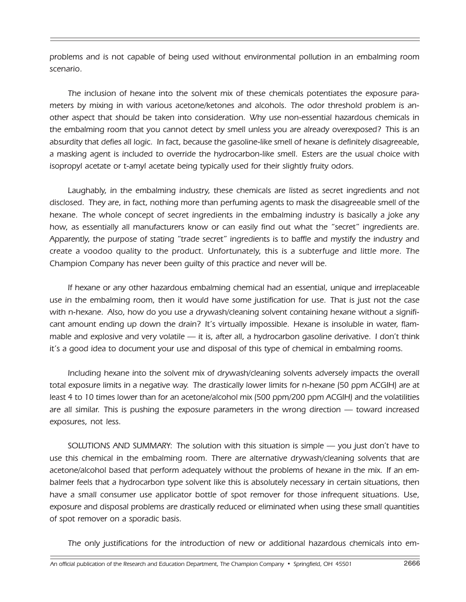problems and is not capable of being used without environmental pollution in an embalming room scenario.

The inclusion of hexane into the solvent mix of these chemicals potentiates the exposure parameters by mixing in with various acetone/ketones and alcohols. The odor threshold problem is another aspect that should be taken into consideration. Why use non-essential hazardous chemicals in the embalming room that you cannot detect by smell unless you are already overexposed? This is an absurdity that defies all logic. In fact, because the gasoline-like smell of hexane is definitely disagreeable, a masking agent is included to override the hydrocarbon-like smell. Esters are the usual choice with isopropyl acetate or t-amyl acetate being typically used for their slightly fruity odors.

Laughably, in the embalming industry, these chemicals are listed as secret ingredients and not disclosed. They are, in fact, nothing more than perfuming agents to mask the disagreeable smell of the hexane. The whole concept of secret ingredients in the embalming industry is basically a joke any how, as essentially all manufacturers know or can easily find out what the "secret" ingredients are. Apparently, the purpose of stating "trade secret" ingredients is to baffle and mystify the industry and create a voodoo quality to the product. Unfortunately, this is a subterfuge and little more. The Champion Company has never been guilty of this practice and never will be.

If hexane or any other hazardous embalming chemical had an essential, unique and irreplaceable use in the embalming room, then it would have some justification for use. That is just not the case with n-hexane. Also, how do you use a drywash/cleaning solvent containing hexane without a significant amount ending up down the drain? It's virtually impossible. Hexane is insoluble in water, flammable and explosive and very volatile  $-$  it is, after all, a hydrocarbon gasoline derivative. I don't think itís a good idea to document your use and disposal of this type of chemical in embalming rooms.

Including hexane into the solvent mix of drywash/cleaning solvents adversely impacts the overall total exposure limits in a negative way. The drastically lower limits for n-hexane (50 ppm ACGIH) are at least 4 to 10 times lower than for an acetone/alcohol mix (500 ppm/200 ppm ACGIH) and the volatilities are all similar. This is pushing the exposure parameters in the wrong direction  $-$  toward increased exposures, not less.

SOLUTIONS AND SUMMARY: The solution with this situation is simple — you just don't have to use this chemical in the embalming room. There are alternative drywash/cleaning solvents that are acetone/alcohol based that perform adequately without the problems of hexane in the mix. If an embalmer feels that a hydrocarbon type solvent like this is absolutely necessary in certain situations, then have a small consumer use applicator bottle of spot remover for those infrequent situations. Use, exposure and disposal problems are drastically reduced or eliminated when using these small quantities of spot remover on a sporadic basis.

The only justifications for the introduction of new or additional hazardous chemicals into em-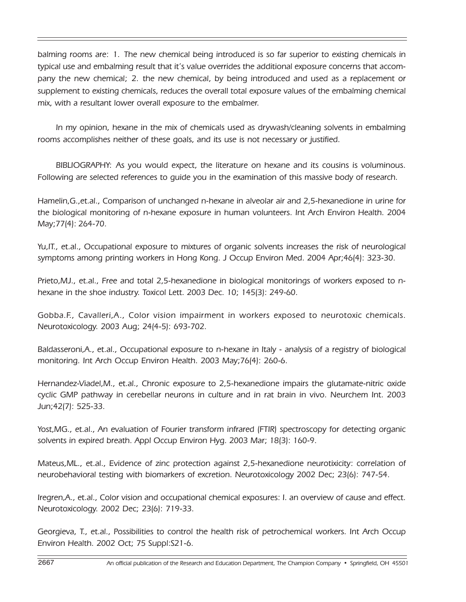balming rooms are: 1. The new chemical being introduced is so far superior to existing chemicals in typical use and embalming result that it's value overrides the additional exposure concerns that accompany the new chemical; 2. the new chemical, by being introduced and used as a replacement or supplement to existing chemicals, reduces the overall total exposure values of the embalming chemical mix, with a resultant lower overall exposure to the embalmer.

In my opinion, hexane in the mix of chemicals used as drywash/cleaning solvents in embalming rooms accomplishes neither of these goals, and its use is not necessary or justified.

BIBLIOGRAPHY: As you would expect, the literature on hexane and its cousins is voluminous. Following are selected references to guide you in the examination of this massive body of research.

Hamelin,G.,et.al., Comparison of unchanged n-hexane in alveolar air and 2,5-hexanedione in urine for the biological monitoring of n-hexane exposure in human volunteers. Int Arch Environ Health. 2004 May;77(4): 264-70.

Yu,IT., et.al., Occupational exposure to mixtures of organic solvents increases the risk of neurological symptoms among printing workers in Hong Kong. J Occup Environ Med. 2004 Apr;46(4): 323-30.

Prieto,MJ., et.al., Free and total 2,5-hexanedione in biological monitorings of workers exposed to nhexane in the shoe industry. Toxicol Lett. 2003 Dec. 10; 145(3): 249-60.

Gobba.F., Cavalleri,A., Color vision impairment in workers exposed to neurotoxic chemicals. Neurotoxicology. 2003 Aug; 24(4-5): 693-702.

Baldasseroni,A., et.al., Occupational exposure to n-hexane in Italy - analysis of a registry of biological monitoring. Int Arch Occup Environ Health. 2003 May;76(4): 260-6.

Hernandez-Viadel,M., et.al., Chronic exposure to 2,5-hexanedione impairs the glutamate-nitric oxide cyclic GMP pathway in cerebellar neurons in culture and in rat brain in vivo. Neurchem Int. 2003 Jun;42(7): 525-33.

Yost,MG., et.al., An evaluation of Fourier transform infrared (FTIR) spectroscopy for detecting organic solvents in expired breath. Appl Occup Environ Hyg. 2003 Mar; 18(3): 160-9.

Mateus,ML., et.al., Evidence of zinc protection against 2,5-hexanedione neurotixicity: correlation of neurobehavioral testing with biomarkers of excretion. Neurotoxicology 2002 Dec; 23(6): 747-54.

Iregren,A., et.al., Color vision and occupational chemical exposures: I. an overview of cause and effect. Neurotoxicology. 2002 Dec; 23(6): 719-33.

Georgieva, T., et.al., Possibilities to control the health risk of petrochemical workers. Int Arch Occup Environ Health. 2002 Oct; 75 Suppl:S21-6.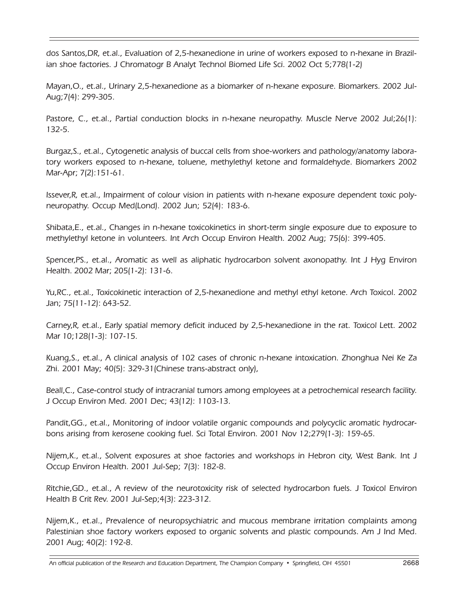dos Santos,DR, et.al., Evaluation of 2,5-hexanedione in urine of workers exposed to n-hexane in Brazilian shoe factories. J Chromatogr B Analyt Technol Biomed Life Sci. 2002 Oct 5;778(1-2)

Mayan,O., et.al., Urinary 2,5-hexanedione as a biomarker of n-hexane exposure. Biomarkers. 2002 Jul-Aug;7(4): 299-305.

Pastore, C., et.al., Partial conduction blocks in n-hexane neuropathy. Muscle Nerve 2002 Jul;26(1): 132-5.

Burgaz,S., et.al., Cytogenetic analysis of buccal cells from shoe-workers and pathology/anatomy laboratory workers exposed to n-hexane, toluene, methylethyl ketone and formaldehyde. Biomarkers 2002 Mar-Apr; 7(2):151-61.

Issever,R, et.al., Impairment of colour vision in patients with n-hexane exposure dependent toxic polyneuropathy. Occup Med(Lond). 2002 Jun; 52(4): 183-6.

Shibata,E., et.al., Changes in n-hexane toxicokinetics in short-term single exposure due to exposure to methylethyl ketone in volunteers. Int Arch Occup Environ Health. 2002 Aug; 75(6): 399-405.

Spencer,PS., et.al., Aromatic as well as aliphatic hydrocarbon solvent axonopathy. Int J Hyg Environ Health. 2002 Mar; 205(1-2): 131-6.

Yu,RC., et.al., Toxicokinetic interaction of 2,5-hexanedione and methyl ethyl ketone. Arch Toxicol. 2002 Jan; 75(11-12): 643-52.

Carney,R, et.al., Early spatial memory deficit induced by 2,5-hexanedione in the rat. Toxicol Lett. 2002 Mar 10;128(1-3): 107-15.

Kuang,S., et.al., A clinical analysis of 102 cases of chronic n-hexane intoxication. Zhonghua Nei Ke Za Zhi. 2001 May; 40(5): 329-31(Chinese trans-abstract only),

Beall,C., Case-control study of intracranial tumors among employees at a petrochemical research facility. J Occup Environ Med. 2001 Dec; 43(12): 1103-13.

Pandit,GG., et.al., Monitoring of indoor volatile organic compounds and polycyclic aromatic hydrocarbons arising from kerosene cooking fuel. Sci Total Environ. 2001 Nov 12;279(1-3): 159-65.

Nijem,K., et.al., Solvent exposures at shoe factories and workshops in Hebron city, West Bank. Int J Occup Environ Health. 2001 Jul-Sep; 7(3): 182-8.

Ritchie,GD., et.al., A review of the neurotoxicity risk of selected hydrocarbon fuels. J Toxicol Environ Health B Crit Rev. 2001 Jul-Sep;4(3): 223-312.

Nijem,K., et.al., Prevalence of neuropsychiatric and mucous membrane irritation complaints among Palestinian shoe factory workers exposed to organic solvents and plastic compounds. Am J Ind Med. 2001 Aug; 40(2): 192-8.